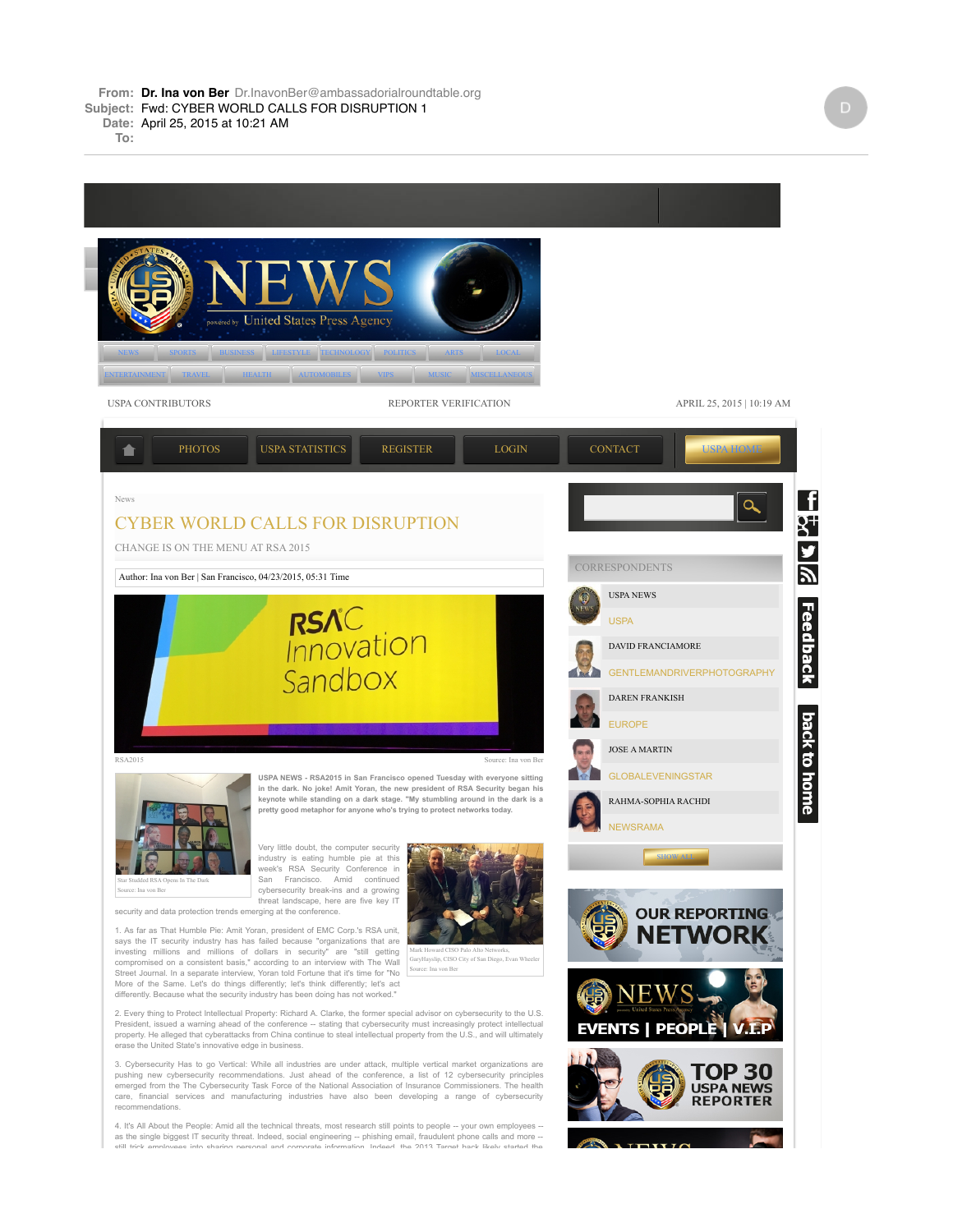**To:**



as the single biggest IT security threat. Indeed, social engineering -- phishing email, fraudulent phone calls and more --<br>والله المصري المصري العربي المصري العربي المصري المصري المصري المصري المصري المصري المصري المصري ال